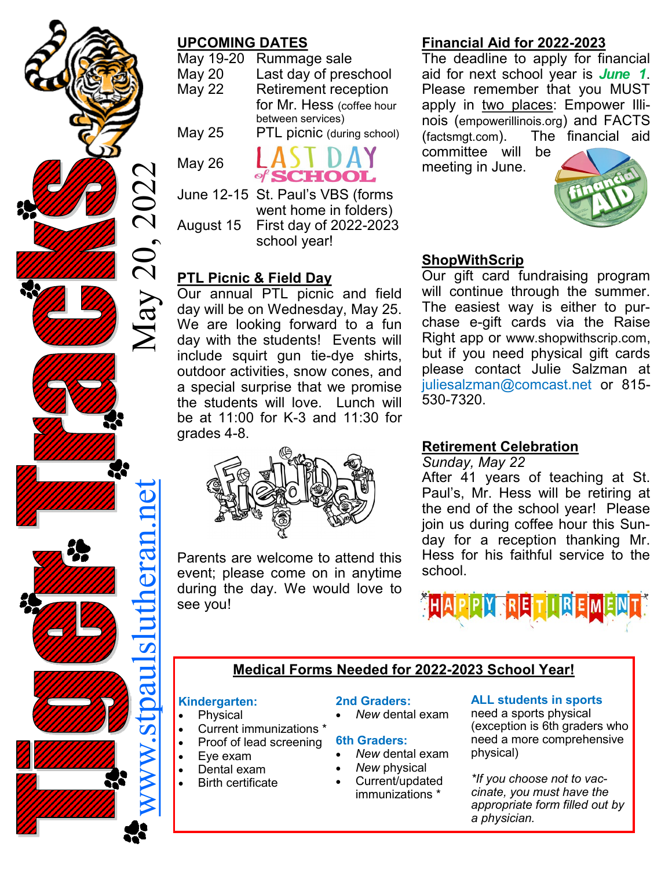

# **UPCOMING DATES**

| May 19-20     | Rummage sale                |
|---------------|-----------------------------|
| May 20        | Last day of preschool       |
| <b>May 22</b> | <b>Retirement reception</b> |
|               | for Mr. Hess (coffee hour   |
|               | between services)           |
| <b>May 25</b> | PTL picnic (during school)  |
| Max26         |                             |



- of SCHOOL
- June 12 -15 St. Paul 's VBS (forms went home in folders) August 15 First day of 2022 -2023 school year!

# **PTL Picnic & Field Day**

Our annual PTL picnic and field day will be on Wednesday, May 25. We are looking forward to a fun day with the students! Events will include squirt gun tie -dye shirts, outdoor activities, snow cones, and a special surprise that we promise the students will love. Lunch will be at 11:00 for K -3 and 11:30 for grades 4 -8.



Parents are welcome to attend this event; please come on in anytime during the day. We would love to see you!

### **Financial Aid for 2022 -2023**

The deadline to apply for financial aid for next school year is *June 1*. Please remember that you MUST apply in two places: Empower Illinois (empowerillinois.org) and FACTS (factsmgt.com). The financial aid committee will be meeting in June.



# **ShopWithScrip**

Our gift card fundraising program will continue through the summer. The easiest way is either to purchase e-gift cards via the Raise Right app or www.shopwithscrip.com, but if you need physical gift cards please contact Julie Salzman at juliesalzman@comcast.net or 815-530 -7320.

### **Retirement Celebration**

#### *Sunday, May 22*

After 41 years of teaching at St. Paul 's, Mr. Hess will be retiring at the end of the school year! Please join us during coffee hour this Sunday for a reception thanking Mr. Hess for his faithful service to the school.



### **Medical Forms Needed for 2022 -2023 School Year!**

#### **Kindergarten:**

- Physical
- Current immunizations \*
- Proof of lead screening
- Eye exam
- Dental exam
- Birth certificate

#### **2nd Graders:**

*New* dental exam

#### **6th Graders:**

- *New* dental exam
- *New* physical
- Current/updated immunizations \*

#### **ALL students in sports**

need a sports physical (exception is 6th graders who need a more comprehensive physical)

*\*If you choose not to vaccinate, you must have the appropriate form filled out by a physician.*